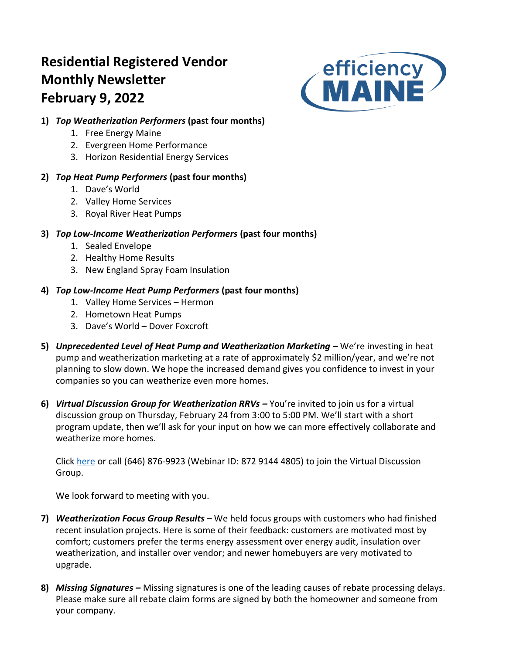# **Residential Registered Vendor Monthly Newsletter February 9, 2022**



# **1)** *Top Weatherization Performers* **(past four months)**

- 1. Free Energy Maine
- 2. Evergreen Home Performance
- 3. Horizon Residential Energy Services

# **2)** *Top Heat Pump Performers* **(past four months)**

- 1. Dave's World
- 2. Valley Home Services
- 3. Royal River Heat Pumps

## **3)** *Top Low-Income Weatherization Performers* **(past four months)**

- 1. Sealed Envelope
- 2. Healthy Home Results
- 3. New England Spray Foam Insulation

## **4)** *Top Low-Income Heat Pump Performers* **(past four months)**

- 1. Valley Home Services Hermon
- 2. Hometown Heat Pumps
- 3. Dave's World Dover Foxcroft
- **5)** *Unprecedented Level of Heat Pump and Weatherization Marketing –* We're investing in heat pump and weatherization marketing at a rate of approximately \$2 million/year, and we're not planning to slow down. We hope the increased demand gives you confidence to invest in your companies so you can weatherize even more homes.
- **6)** *Virtual Discussion Group for Weatherization RRVs –* You're invited to join us for a virtual discussion group on Thursday, February 24 from 3:00 to 5:00 PM. We'll start with a short program update, then we'll ask for your input on how we can more effectively collaborate and weatherize more homes.

Click [here](https://efficiencymaine.zoom.us/j/87291444805) or call (646) 876-9923 (Webinar ID: 872 9144 4805) to join the Virtual Discussion Group.

We look forward to meeting with you.

- **7)** *Weatherization Focus Group Results –* We held focus groups with customers who had finished recent insulation projects. Here is some of their feedback: customers are motivated most by comfort; customers prefer the terms energy assessment over energy audit, insulation over weatherization, and installer over vendor; and newer homebuyers are very motivated to upgrade.
- **8)** *Missing Signatures –* Missing signatures is one of the leading causes of rebate processing delays. Please make sure all rebate claim forms are signed by both the homeowner and someone from your company.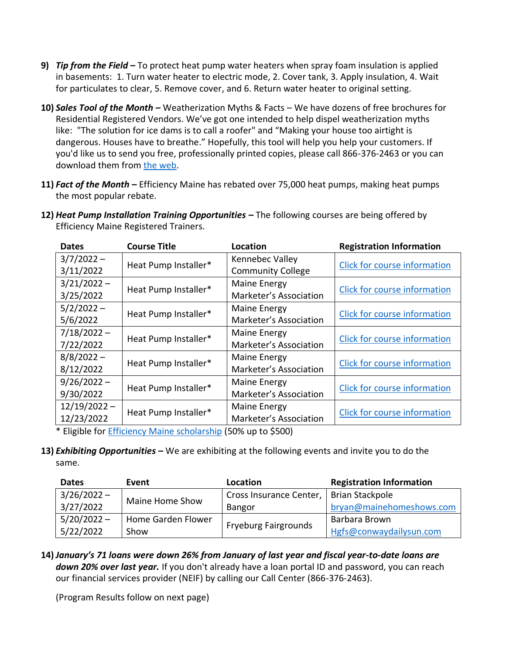- **9)** *Tip from the Field* **–** To protect heat pump water heaters when spray foam insulation is applied in basements: 1. Turn water heater to electric mode, 2. Cover tank, 3. Apply insulation, 4. Wait for particulates to clear, 5. Remove cover, and 6. Return water heater to original setting.
- **10)** *Sales Tool of the Month –* Weatherization Myths & Facts We have dozens of free brochures for Residential Registered Vendors. We've got one intended to help dispel weatherization myths like: "The solution for ice dams is to call a roofer" and "Making your house too airtight is dangerous. Houses have to breathe." Hopefully, this tool will help you help your customers. If you'd like us to send you free, professionally printed copies, please call 866-376-2463 or you can download them from [the web.](https://www.efficiencymaine.com/docs/EMMythsAndFacts.pdf))
- **11)** *Fact of the Month –* Efficiency Maine has rebated over 75,000 heat pumps, making heat pumps the most popular rebate.

| Efficiency Maine Registered Trainers. |                      |                          |                                 |  |  |  |  |  |  |
|---------------------------------------|----------------------|--------------------------|---------------------------------|--|--|--|--|--|--|
| <b>Dates</b>                          | <b>Course Title</b>  | Location                 | <b>Registration Information</b> |  |  |  |  |  |  |
| $3/7/2022 -$                          |                      | Kennebec Valley          |                                 |  |  |  |  |  |  |
| 3/11/2022                             | Heat Pump Installer* | <b>Community College</b> | Click for course information    |  |  |  |  |  |  |

**12)** *Heat Pump Installation Training Opportunities –* The following courses are being offered by Efficiency Maine Registered Trainers.

| $3/7/2022 -$   | Heat Pump Installer* | Kennebec Valley          | <b>Click for course information</b> |  |  |  |
|----------------|----------------------|--------------------------|-------------------------------------|--|--|--|
| 3/11/2022      |                      | <b>Community College</b> |                                     |  |  |  |
| $3/21/2022 -$  |                      | Maine Energy             |                                     |  |  |  |
| 3/25/2022      | Heat Pump Installer* | Marketer's Association   | Click for course information        |  |  |  |
| $5/2/2022 -$   |                      | Maine Energy             | <b>Click for course information</b> |  |  |  |
| 5/6/2022       | Heat Pump Installer* | Marketer's Association   |                                     |  |  |  |
| $7/18/2022 -$  | Heat Pump Installer* | Maine Energy             | <b>Click for course information</b> |  |  |  |
| 7/22/2022      |                      | Marketer's Association   |                                     |  |  |  |
| $8/8/2022 -$   |                      | Maine Energy             |                                     |  |  |  |
| 8/12/2022      | Heat Pump Installer* | Marketer's Association   | <b>Click for course information</b> |  |  |  |
| $9/26/2022 -$  |                      | Maine Energy             |                                     |  |  |  |
| 9/30/2022      | Heat Pump Installer* | Marketer's Association   | <b>Click for course information</b> |  |  |  |
| $12/19/2022 -$ |                      | Maine Energy             |                                     |  |  |  |
| 12/23/2022     | Heat Pump Installer* | Marketer's Association   | <b>Click for course information</b> |  |  |  |

\* Eligible for [Efficiency Maine scholarship](https://www.efficiencymaine.com/docs/RRV-Scholarship-Application.pdf) (50% up to \$500)

**13)** *Exhibiting Opportunities –* We are exhibiting at the following events and invite you to do the same.

| <b>Dates</b>  | Event              | Location                    | <b>Registration Information</b> |  |  |
|---------------|--------------------|-----------------------------|---------------------------------|--|--|
| $3/26/2022 -$ | Maine Home Show    | Cross Insurance Center,     | Brian Stackpole                 |  |  |
| 3/27/2022     |                    | <b>Bangor</b>               | bryan@mainehomeshows.com        |  |  |
| $5/20/2022 -$ | Home Garden Flower |                             | Barbara Brown                   |  |  |
| 5/22/2022     | Show               | <b>Fryeburg Fairgrounds</b> | Hgfs@conwaydailysun.com         |  |  |

**14)** *January's 71 loans were down 26% from January of last year and fiscal year-to-date loans are*  down 20% over last year. If you don't already have a loan portal ID and password, you can reach our financial services provider (NEIF) by calling our Call Center (866-376-2463).

(Program Results follow on next page)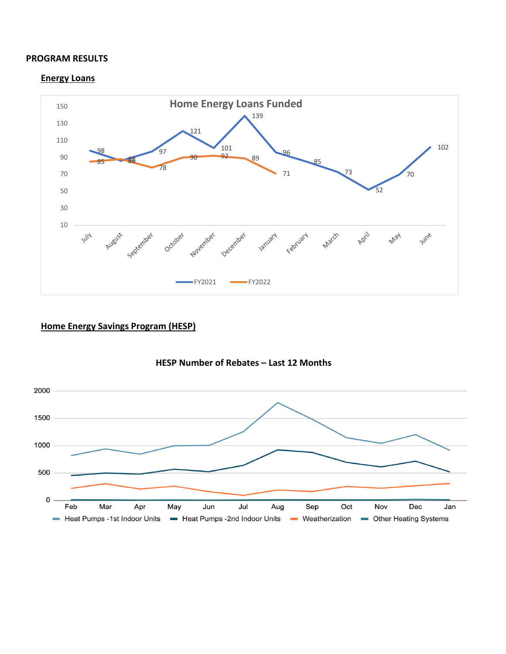#### **PROGRAM RESULTS**

#### **Energy Loans**



### **Home Energy Savings Program (HESP)**



#### **HESP Number of Rebates – Last 12 Months**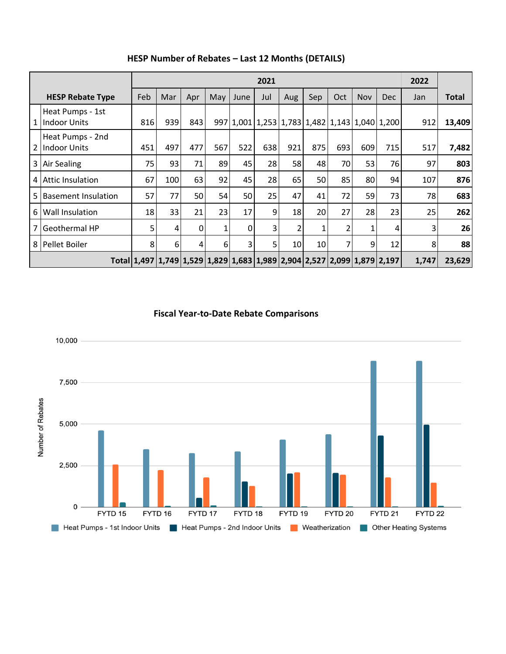|                | 2021                                    |     |     |     |     |      |     |     |     |                |            |                                                                         | 2022  |              |
|----------------|-----------------------------------------|-----|-----|-----|-----|------|-----|-----|-----|----------------|------------|-------------------------------------------------------------------------|-------|--------------|
|                | <b>HESP Rebate Type</b>                 | Feb | Mar | Apr | May | June | Jul | Aug | Sep | Oct            | <b>Nov</b> | <b>Dec</b>                                                              | Jan   | <b>Total</b> |
| 1              | Heat Pumps - 1st<br><b>Indoor Units</b> | 816 | 939 | 843 |     |      |     |     |     |                |            | 997 1,001 1,253 1,783 1,482 1,143 1,040 1,200                           | 912   | 13,409       |
| $\mathfrak{p}$ | Heat Pumps - 2nd<br><b>Indoor Units</b> | 451 | 497 | 477 | 567 | 522  | 638 | 921 | 875 | 693            | 609        | 715                                                                     | 517   | 7,482        |
| 3              | <b>Air Sealing</b>                      | 75  | 93  | 71  | 89  | 45   | 28  | 58  | 48  | 70             | 53         | 76                                                                      | 97    | 803          |
| 4              | <b>Attic Insulation</b>                 | 67  | 100 | 63  | 92  | 45   | 28  | 65  | 50  | 85             | 80         | 94                                                                      | 107   | 876          |
| 5              | <b>Basement Insulation</b>              | 57  | 77  | 50  | 54  | 50   | 25  | 47  | 41  | 72             | 59         | 73                                                                      | 78    | 683          |
| 6              | Wall Insulation                         | 18  | 33  | 21  | 23  | 17   | 9   | 18  | 20  | 27             | 28         | 23                                                                      | 25    | 262          |
| 7              | Geothermal HP                           | 5   | 4   | 0   | 1   | 0    | 3   | 2   | 1   | 2              | 1          | 4                                                                       | 3     | 26           |
| 8              | Pellet Boiler                           | 8   | 6   | 4   | 6   | 3    | 5   | 10  | 10  | $\overline{7}$ | 9          | 12                                                                      | 8     | 88           |
|                |                                         |     |     |     |     |      |     |     |     |                |            | Total 1,497 1,749 1,529 1,829 1,683 1,989 2,904 2,527 2,099 1,879 2,197 | 1,747 | 23,629       |

## **HESP Number of Rebates – Last 12 Months (DETAILS)**

**Fiscal Year-to-Date Rebate Comparisons**

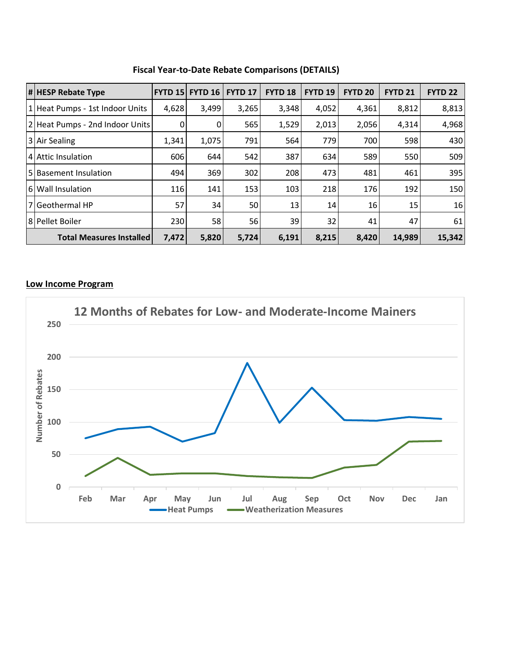|                                 | <b># HESP Rebate Type</b>       | <b>FYTD 15</b> | FYTD <sub>16</sub> | <b>FYTD 17</b> | <b>FYTD 18</b> | <b>FYTD 19</b> | <b>FYTD 20</b> | <b>FYTD 21</b>  | <b>FYTD 22</b> |
|---------------------------------|---------------------------------|----------------|--------------------|----------------|----------------|----------------|----------------|-----------------|----------------|
|                                 | 1 Heat Pumps - 1st Indoor Units | 4,628          | 3,499              | 3,265          | 3,348          | 4,052          | 4,361          | 8,812           | 8,813          |
|                                 | 2 Heat Pumps - 2nd Indoor Units | 0              | 0                  | 565            | 1,529          | 2,013          | 2,056          | 4,314           | 4,968          |
|                                 | 3 Air Sealing                   | 1,341          | 1,075              | 791            | 564            | 779            | 700            | 598             | 430            |
|                                 | 4 Attic Insulation              | 606            | 644                | 542            | 387            | 634            | 589            | 550             | 509            |
|                                 | 5 Basement Insulation           | 494            | 369                | 302            | 208            | 473            | 481            | 461             | 395            |
|                                 | 6 Wall Insulation               | 116            | 141                | 153            | 103            | 218            | 176            | 192             | 150            |
|                                 | 7 Geothermal HP                 | 57             | 34                 | 50             | 13             | 14             | 16             | 15 <sup>1</sup> | 16             |
|                                 | 8 Pellet Boiler                 | 230            | 58                 | 56             | 39             | 32             | 41             | 47              | 61             |
| <b>Total Measures Installed</b> |                                 | 7,472          | 5,820              | 5,724          | 6,191          | 8,215          | 8,420          | 14,989          | 15,342         |

**Fiscal Year-to-Date Rebate Comparisons (DETAILS)**

## **Low Income Program**

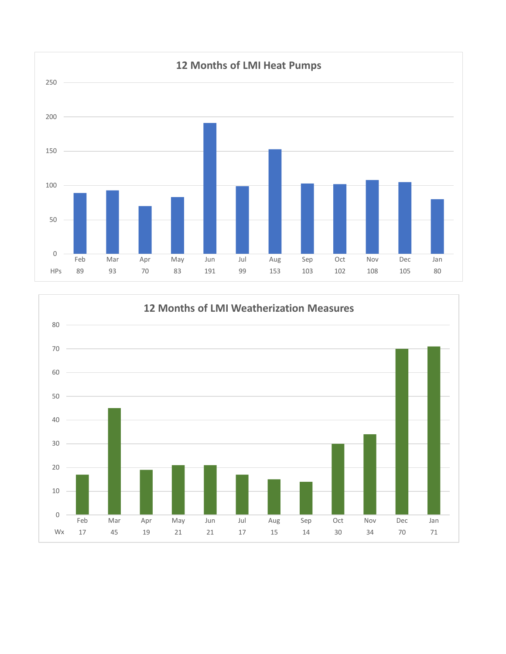